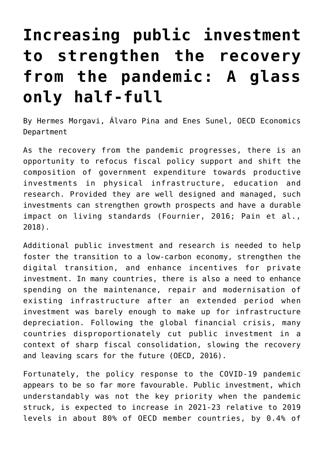## **[Increasing public investment](https://oecdecoscope.blog/2022/03/07/increasing-public-investment-to-strengthen-the-recovery-from-the-pandemic-a-glass-only-half-full/) [to strengthen the recovery](https://oecdecoscope.blog/2022/03/07/increasing-public-investment-to-strengthen-the-recovery-from-the-pandemic-a-glass-only-half-full/) [from the pandemic: A glass](https://oecdecoscope.blog/2022/03/07/increasing-public-investment-to-strengthen-the-recovery-from-the-pandemic-a-glass-only-half-full/) [only half-full](https://oecdecoscope.blog/2022/03/07/increasing-public-investment-to-strengthen-the-recovery-from-the-pandemic-a-glass-only-half-full/)**

By Hermes Morgavi, Álvaro Pina and Enes Sunel, OECD Economics Department

As the recovery from the pandemic progresses, there is an opportunity to refocus fiscal policy support and shift the composition of government expenditure towards productive investments in physical infrastructure, education and research. Provided they are well designed and managed, such investments can strengthen growth prospects and have a durable impact on living standards (Fournier, 2016; Pain et al., 2018).

Additional public investment and research is needed to help foster the transition to a low-carbon economy, strengthen the digital transition, and enhance incentives for private investment. In many countries, there is also a need to enhance spending on the maintenance, repair and modernisation of existing infrastructure after an extended period when investment was barely enough to make up for infrastructure depreciation. Following the global financial crisis, many countries disproportionately cut public investment in a context of sharp fiscal consolidation, slowing the recovery and leaving scars for the future (OECD, 2016).

Fortunately, the policy response to the COVID-19 pandemic appears to be so far more favourable. Public investment, which understandably was not the key priority when the pandemic struck, is expected to increase in 2021-23 relative to 2019 levels in about 80% of OECD member countries, by 0.4% of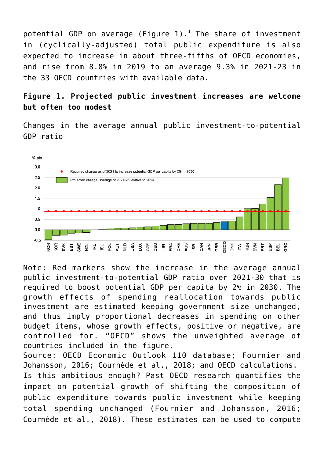potential GDP on average (Figure [1](#page--1-0)). $^1$  The share of investment in (cyclically-adjusted) total public expenditure is also expected to increase in about three-fifths of OECD economies, and rise from 8.8% in 2019 to an average 9.3% in 2021-23 in the 33 OECD countries with available data.

## **Figure 1. Projected public investment increases are welcome but often too modest**

Changes in the average annual public investment-to-potential GDP ratio



Note: Red markers show the increase in the average annual public investment-to-potential GDP ratio over 2021-30 that is required to boost potential GDP per capita by 2% in 2030. The growth effects of spending reallocation towards public investment are estimated keeping government size unchanged, and thus imply proportional decreases in spending on other budget items, whose growth effects, positive or negative, are controlled for. "OECD" shows the unweighted average of countries included in the figure.

Source: OECD Economic Outlook 110 database; Fournier and Johansson, 2016; Cournède et al., 2018; and OECD calculations. Is this ambitious enough? Past OECD research quantifies the impact on potential growth of shifting the composition of public expenditure towards public investment while keeping total spending unchanged (Fournier and Johansson, 2016; Cournède et al., 2018). These estimates can be used to compute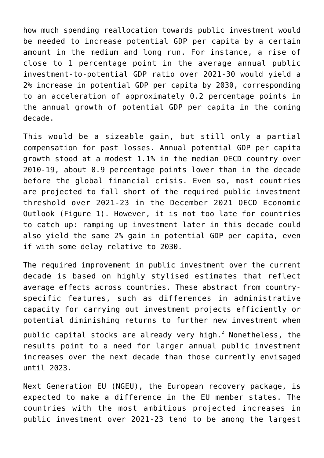how much spending reallocation towards public investment would be needed to increase potential GDP per capita by a certain amount in the medium and long run. For instance, a rise of close to 1 percentage point in the average annual public investment-to-potential GDP ratio over 2021-30 would yield a 2% increase in potential GDP per capita by 2030, corresponding to an acceleration of approximately 0.2 percentage points in the annual growth of potential GDP per capita in the coming decade.

This would be a sizeable gain, but still only a partial compensation for past losses. Annual potential GDP per capita growth stood at a modest 1.1% in the median OECD country over 2010-19, about 0.9 percentage points lower than in the decade before the global financial crisis. Even so, most countries are projected to fall short of the required public investment threshold over 2021-23 in the December 2021 OECD Economic Outlook (Figure 1). However, it is not too late for countries to catch up: ramping up investment later in this decade could also yield the same 2% gain in potential GDP per capita, even if with some delay relative to 2030.

The required improvement in public investment over the current decade is based on highly stylised estimates that reflect average effects across countries. These abstract from countryspecific features, such as differences in administrative capacity for carrying out investment projects efficiently or potential diminishing returns to further new investment when public capital stocks are already very high. $^2$  $^2$  Nonetheless, the results point to a need for larger annual public investment increases over the next decade than those currently envisaged until 2023.

Next Generation EU (NGEU), the European recovery package, is expected to make a difference in the EU member states. The countries with the most ambitious projected increases in public investment over 2021-23 tend to be among the largest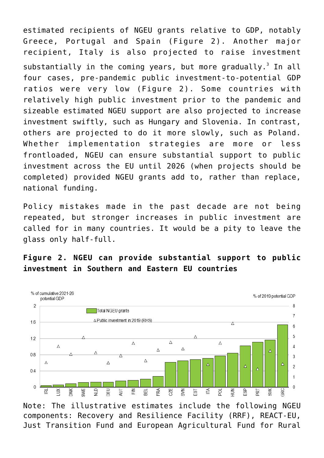estimated recipients of NGEU grants relative to GDP, notably Greece, Portugal and Spain (Figure 2). Another major recipient, Italy is also projected to raise investment substantially in the coming years, but more gradually.<sup>[3](#page--1-0)</sup> In all four cases, pre-pandemic public investment-to-potential GDP ratios were very low (Figure 2). Some countries with relatively high public investment prior to the pandemic and sizeable estimated NGEU support are also projected to increase investment swiftly, such as Hungary and Slovenia. In contrast, others are projected to do it more slowly, such as Poland. Whether implementation strategies are more or less frontloaded, NGEU can ensure substantial support to public investment across the EU until 2026 (when projects should be completed) provided NGEU grants add to, rather than replace, national funding.

Policy mistakes made in the past decade are not being repeated, but stronger increases in public investment are called for in many countries. It would be a pity to leave the glass only half-full.

## **Figure 2. NGEU can provide substantial support to public investment in Southern and Eastern EU countries**



Note: The illustrative estimates include the following NGEU components: Recovery and Resilience Facility (RRF), REACT-EU, Just Transition Fund and European Agricultural Fund for Rural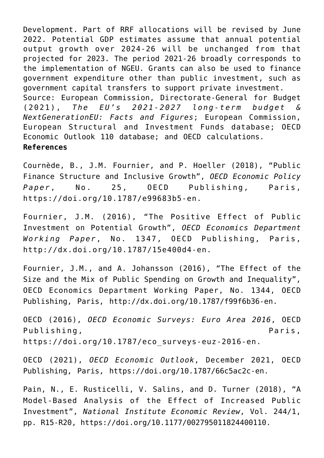Development. Part of RRF allocations will be revised by June 2022. Potential GDP estimates assume that annual potential output growth over 2024-26 will be unchanged from that projected for 2023. The period 2021-26 broadly corresponds to the implementation of NGEU. Grants can also be used to finance government expenditure other than public investment, such as government capital transfers to support private investment. Source: European Commission, Directorate-General for Budget (2021), *The EU's 2021-2027 long-term budget & NextGenerationEU: Facts and Figures*; European Commission, European Structural and Investment Funds database; OECD Economic Outlook 110 database; and OECD calculations. **References**

Cournède, B., J.M. Fournier, and P. Hoeller (2018), "Public Finance Structure and Inclusive Growth", *OECD Economic Policy Paper*, No. 25, OECD Publishing, Paris, [https://doi.org/10.1787/e99683b5-en.](https://doi.org/10.1787/e99683b5-en)

Fournier, J.M. (2016), "The Positive Effect of Public Investment on Potential Growth", *OECD Economics Department Working Paper*, No. 1347, OECD Publishing, Paris, <http://dx.doi.org/10.1787/15e400d4-en>.

Fournier, J.M., and A. Johansson (2016), "The Effect of the Size and the Mix of Public Spending on Growth and Inequality", OECD Economics Department Working Paper, No. 1344, OECD Publishing, Paris, [http://dx.doi.org/10.1787/f99f6b36-en.](http://dx.doi.org/10.1787/f99f6b36-en)

OECD (2016), *OECD Economic Surveys: Euro Area 2016*, OECD Publishing, Publishing, Paris, Paris, Paris, Paris, Paris, Paris, Paris, Paris, Paris, Paris, Paris, Paris, Paris, Paris, Paris, Paris, Paris, Paris, Paris, Paris, Paris, Paris, Paris, Paris, Paris, Paris, Paris, Paris, Pa [https://doi.org/10.1787/eco\\_surveys-euz-2016-en](https://doi.org/10.1787/eco_surveys-euz-2016-en).

OECD (2021), *OECD Economic Outlook*, December 2021, OECD Publishing, Paris, <https://doi.org/10.1787/66c5ac2c-en>.

Pain, N., E. Rusticelli, V. Salins, and D. Turner (2018), "A Model-Based Analysis of the Effect of Increased Public Investment", *National Institute Economic Review*, Vol. 244/1, pp. R15-R20, [https://doi.org/10.1177/002795011824400110.](https://doi.org/10.1177/002795011824400110)